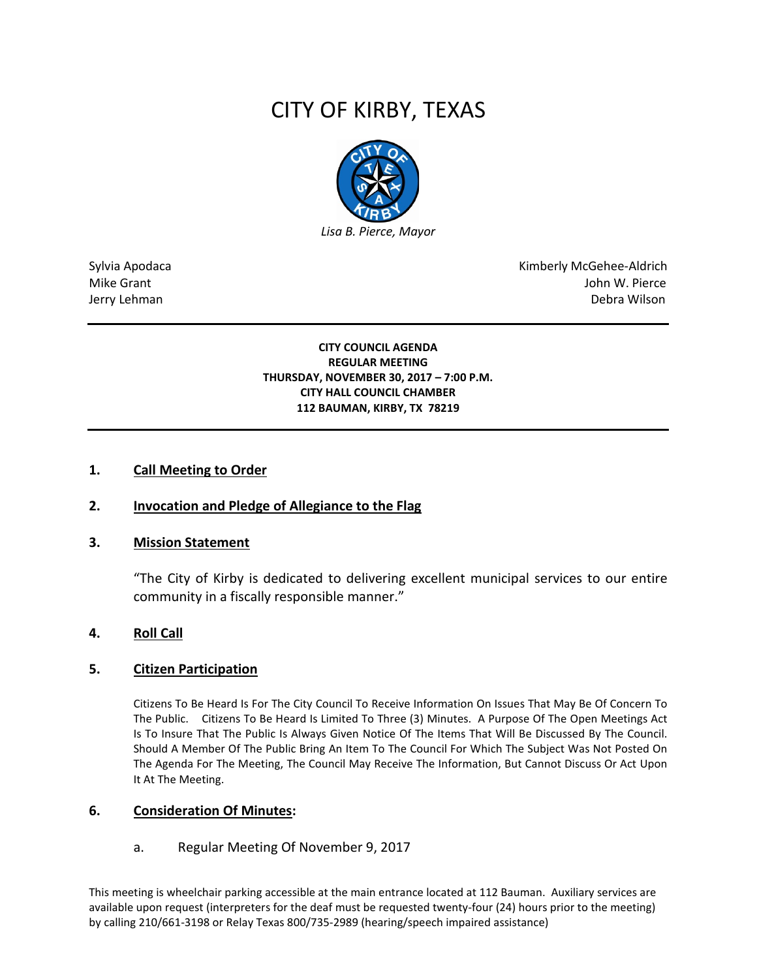# CITY OF KIRBY, TEXAS



Sylvia Apodaca National Apodaca Kimberly McGehee-Aldrich Mike Grant John W. Pierce Jerry Lehman Debra Wilson (2008) and the state of the state of the state of the state of the state of the state of the state of the state of the state of the state of the state of the state of the state of the state of the

#### **CITY COUNCIL AGENDA REGULAR MEETING THURSDAY, NOVEMBER 30, 2017 – 7:00 P.M. CITY HALL COUNCIL CHAMBER 112 BAUMAN, KIRBY, TX 78219**

### **1. Call Meeting to Order**

## **2. Invocation and Pledge of Allegiance to the Flag**

#### **3. Mission Statement**

"The City of Kirby is dedicated to delivering excellent municipal services to our entire community in a fiscally responsible manner."

#### **4. Roll Call**

#### **5. Citizen Participation**

Citizens To Be Heard Is For The City Council To Receive Information On Issues That May Be Of Concern To The Public. Citizens To Be Heard Is Limited To Three (3) Minutes. A Purpose Of The Open Meetings Act Is To Insure That The Public Is Always Given Notice Of The Items That Will Be Discussed By The Council. Should A Member Of The Public Bring An Item To The Council For Which The Subject Was Not Posted On The Agenda For The Meeting, The Council May Receive The Information, But Cannot Discuss Or Act Upon It At The Meeting.

#### **6. Consideration Of Minutes:**

#### a. Regular Meeting Of November 9, 2017

This meeting is wheelchair parking accessible at the main entrance located at 112 Bauman. Auxiliary services are available upon request (interpreters for the deaf must be requested twenty-four (24) hours prior to the meeting) by calling 210/661-3198 or Relay Texas 800/735-2989 (hearing/speech impaired assistance)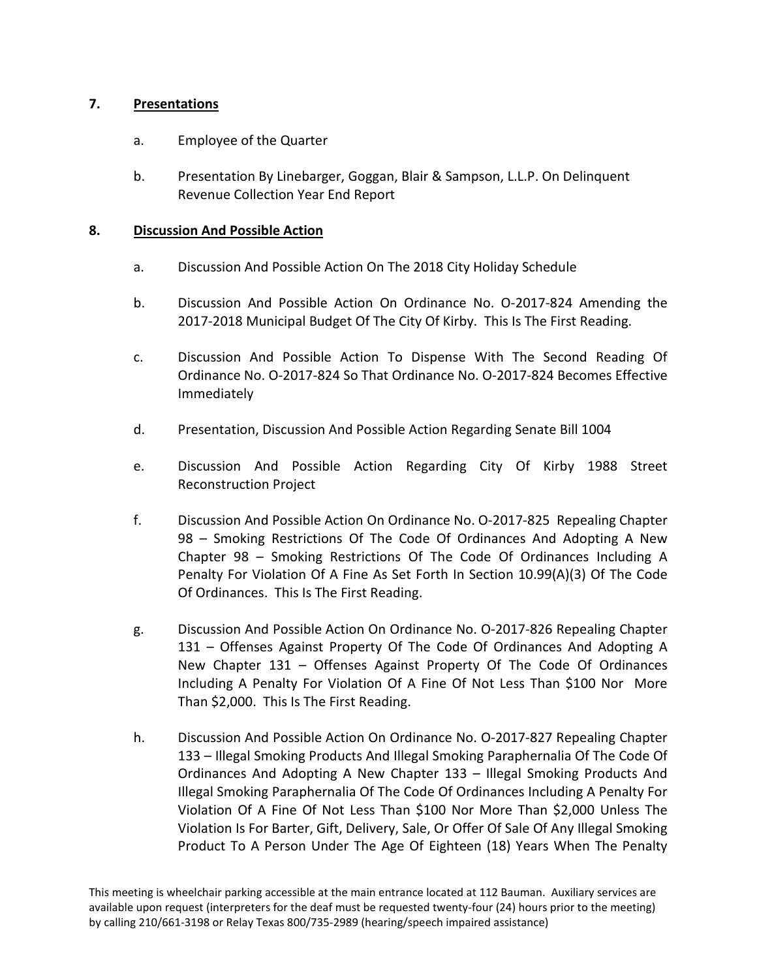## **7. Presentations**

- a. Employee of the Quarter
- b. Presentation By Linebarger, Goggan, Blair & Sampson, L.L.P. On Delinquent Revenue Collection Year End Report

## **8. Discussion And Possible Action**

- a. Discussion And Possible Action On The 2018 City Holiday Schedule
- b. Discussion And Possible Action On Ordinance No. O-2017-824 Amending the 2017-2018 Municipal Budget Of The City Of Kirby. This Is The First Reading.
- c. Discussion And Possible Action To Dispense With The Second Reading Of Ordinance No. O-2017-824 So That Ordinance No. O-2017-824 Becomes Effective Immediately
- d. Presentation, Discussion And Possible Action Regarding Senate Bill 1004
- e. Discussion And Possible Action Regarding City Of Kirby 1988 Street Reconstruction Project
- f. Discussion And Possible Action On Ordinance No. O-2017-825 Repealing Chapter 98 – Smoking Restrictions Of The Code Of Ordinances And Adopting A New Chapter 98 – Smoking Restrictions Of The Code Of Ordinances Including A Penalty For Violation Of A Fine As Set Forth In Section 10.99(A)(3) Of The Code Of Ordinances. This Is The First Reading.
- g. Discussion And Possible Action On Ordinance No. O-2017-826 Repealing Chapter 131 – Offenses Against Property Of The Code Of Ordinances And Adopting A New Chapter 131 – Offenses Against Property Of The Code Of Ordinances Including A Penalty For Violation Of A Fine Of Not Less Than \$100 Nor More Than \$2,000. This Is The First Reading.
- h. Discussion And Possible Action On Ordinance No. O-2017-827 Repealing Chapter 133 – Illegal Smoking Products And Illegal Smoking Paraphernalia Of The Code Of Ordinances And Adopting A New Chapter 133 – Illegal Smoking Products And Illegal Smoking Paraphernalia Of The Code Of Ordinances Including A Penalty For Violation Of A Fine Of Not Less Than \$100 Nor More Than \$2,000 Unless The Violation Is For Barter, Gift, Delivery, Sale, Or Offer Of Sale Of Any Illegal Smoking Product To A Person Under The Age Of Eighteen (18) Years When The Penalty